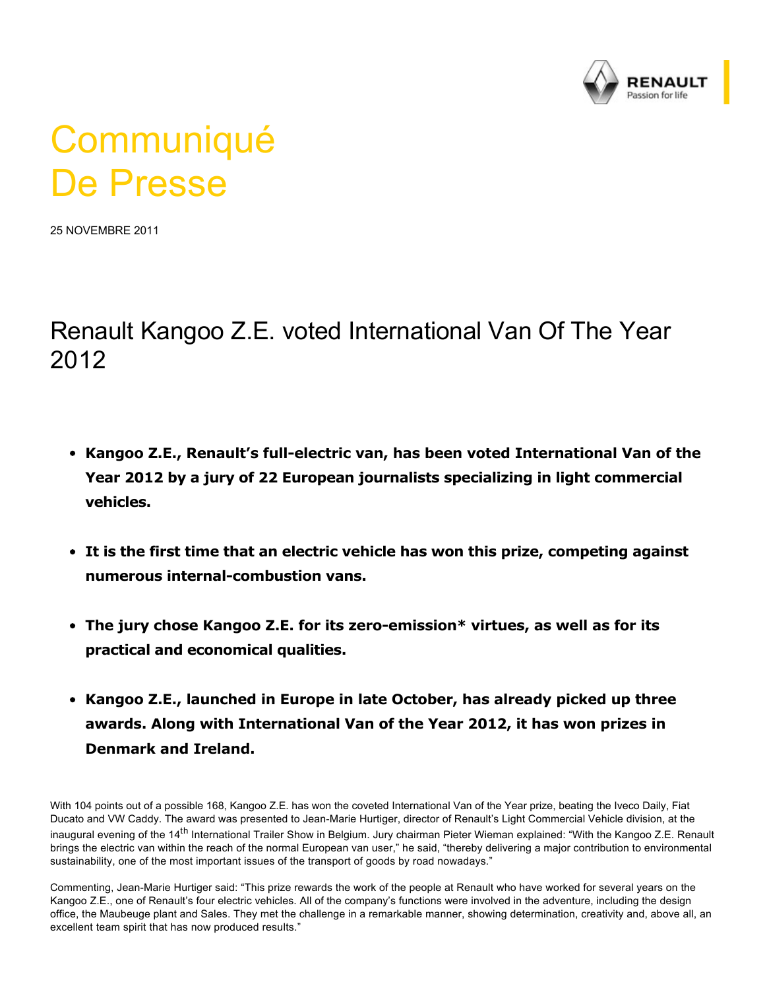

# **Communiqué** De Presse

25 NOVEMBRE 2011

## Renault Kangoo Z.E. voted International Van Of The Year 2012

- **Kangoo Z.E., Renault's full-electric van, has been voted International Van of the Year 2012 by a jury of 22 European journalists specializing in light commercial vehicles.**
- **It is the first time that an electric vehicle has won this prize, competing against numerous internal-combustion vans.**
- The jury chose Kangoo Z.E. for its zero-emission\* virtues, as well as for its **practical and economical qualities.**
- **Kangoo Z.E., launched in Europe in late October, has already picked up three awards. Along with International Van of the Year 2012, it has won prizes in Denmark and Ireland.**

With 104 points out of a possible 168, Kangoo Z.E. has won the coveted International Van of the Year prize, beating the Iveco Daily, Fiat Ducato and VW Caddy. The award was presented to Jean-Marie Hurtiger, director of Renault's Light Commercial Vehicle division, at the inaugural evening of the 14<sup>th</sup> International Trailer Show in Belgium. Jury chairman Pieter Wieman explained: "With the Kangoo Z.E. Renault brings the electric van within the reach of the normal European van user," he said, "thereby delivering a major contribution to environmental sustainability, one of the most important issues of the transport of goods by road nowadays."

Commenting, Jean-Marie Hurtiger said: "This prize rewards the work of the people at Renault who have worked for several years on the Kangoo Z.E., one of Renault's four electric vehicles. All of the company's functions were involved in the adventure, including the design office, the Maubeuge plant and Sales. They met the challenge in a remarkable manner, showing determination, creativity and, above all, an excellent team spirit that has now produced results."